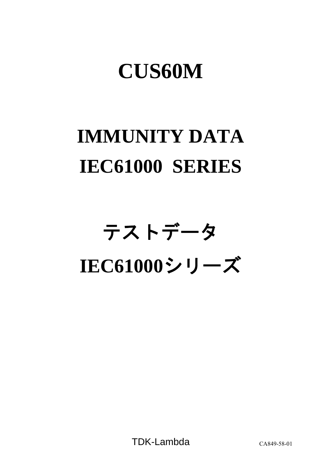## **CUS60M**

## **IMMUNITY DATA IEC61000 SERIES**

# テストデータ **IEC61000**シリーズ

TDK-Lambda CA849-58-01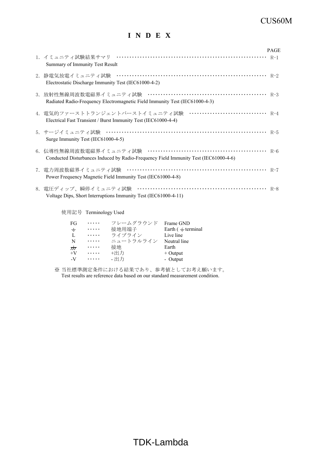### CUS60M

### **I N D E X**

|                                                                                                                                       | <b>PAGE</b> |
|---------------------------------------------------------------------------------------------------------------------------------------|-------------|
| Summary of Immunity Test Result                                                                                                       |             |
| Electrostatic Discharge Immunity Test (IEC61000-4-2)                                                                                  |             |
| Radiated Radio-Frequency Electromagnetic Field Immunity Test (IEC61000-4-3)                                                           |             |
| 4. 電気的ファーストトランジェントバーストイミュニティ試験 ································ R-4<br>Electrical Fast Transient / Burst Immunity Test (IEC61000-4-4) |             |
| Surge Immunity Test (IEC61000-4-5)                                                                                                    |             |
| Conducted Disturbances Induced by Radio-Frequency Field Immunity Test (IEC61000-4-6)                                                  |             |
| Power Frequency Magnetic Field Immunity Test (IEC61000-4-8)                                                                           |             |
| Voltage Dips, Short Interruptions Immunity Test (IEC61000-4-11)                                                                       |             |

使用記号 Terminology Used

| FG               | $\cdots$ | フレームグラウンド | Frame GND                |
|------------------|----------|-----------|--------------------------|
| $\div$           | .        | 接地用端子     | Earth $($ $\pm$ terminal |
| L                | $\cdots$ | ライブライン    | Live line                |
| N                | .        | ニュートラルライン | Neutral line             |
| $\overline{\pi}$ | .        | 接地        | Earth                    |
| $+V$             | $\cdots$ | +出力       | $+$ Output               |
| $-V$             | $\cdots$ | - 出力      | - Output                 |

※ 当社標準測定条件における結果であり、参考値としてお考え願います。 Test results are reference data based on our standard measurement condition.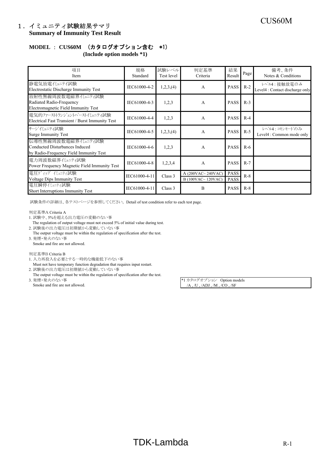## CUS60M 1.イミュニティ試験結果サマリ **Summary of Immunity Test Result**

## **MODEL** : **CUS60M** (カタログオプション含む \*1)

**(Include option models \*1)**

| 項目<br>Item                                                                                      | 規格<br>Standard | 試験レベル<br>Test level | 判定基準<br>Criteria                         | 結果<br>Result               | Page  | 備考、条件<br>Notes & Conditions                    |
|-------------------------------------------------------------------------------------------------|----------------|---------------------|------------------------------------------|----------------------------|-------|------------------------------------------------|
| 静電気放電代ュニテイ試験<br>Electrostatic Discharge Immunity Test                                           | IEC61000-4-2   | 1,2,3, (4)          | A                                        | <b>PASS</b>                | $R-2$ | レベル4:接触放電のみ<br>Level4 : Contact discharge only |
| 放射性無線周波数電磁界イミュニティ試験<br>Radiated Radio-Frequency<br>Electromagnetic Field Immunity Test          | IEC61000-4-3   | 1,2,3               | A                                        | <b>PASS</b>                | $R-3$ |                                                |
| 電気的ファーストトランジェントバーストイミュニティ試験<br>Electrical Fast Transient / Burst Immunity Test                  | IEC61000-4-4   | 1,2,3               | A                                        | <b>PASS</b>                | $R-4$ |                                                |
| サージイミュニティ試験<br><b>Surge Immunity Test</b>                                                       | IEC61000-4-5   | 1,2,3, (4)          | A                                        | <b>PASS</b>                | $R-5$ | レベル4:コモンモードのみ<br>Level4 : Common mode only     |
| 伝導性無線周波数電磁界イミュニティ試験<br>Conducted Disturbances Induced<br>by Radio-Frequency Field Immunity Test | IEC61000-4-6   | 1,2,3               | A                                        | <b>PASS</b>                | $R-6$ |                                                |
| 電力周波数磁界ペュニティ試験<br>Power Frequency Magnetic Field Immunity Test                                  | IEC61000-4-8   | 1,2,3,4             | A                                        | <b>PASS</b>                | $R-7$ |                                                |
| 電圧ディップ パュニティ試験<br><b>Voltage Dips Immunity Test</b>                                             | IEC61000-4-11  | Class 3             | A $(200VAC~240VAC)$<br>B (100VAC~120VAC) | <b>PASS</b><br><b>PASS</b> | $R-8$ |                                                |
| 電圧瞬停イミュニティ試験<br>Short Interruptions Immunity Test                                               | IEC61000-4-11  | Class 3             | B                                        | <b>PASS</b>                | $R-8$ |                                                |

試験条件の詳細は、各テストページを参照してください。 Detail of test condition refer to each test page.

判定基準A Criteria A

- 1. 試験中、5%を超える出力電圧の変動のない事
- The regulation of output voltage must not exceed 5% of initial value during test.
- 2. 試験後の出力電圧は初期値から変動していない事 The output voltage must be within the regulation of specification after the test. 3. 発煙・発火のない事
- Smoke and fire are not allowed.

#### 判定基準B Criteria B

- 1. 入力再投入を必要とする一時的な機能低下のない事
- Must not have temporary function degradation that requires input restart.
- 2. 試験後の出力電圧は初期値から変動していない事
- The output voltage must be within the regulation of specification after the test.<br>3.  $\mathcal{H}\mathbb{H}\times\mathcal{H}\otimes\mathcal{H}\times\mathcal{H}$ 
	-

\*1 カタログオプション Option models Smoke and fire are not allowed. /A , /U , /ADJ , /M , /CO , /SF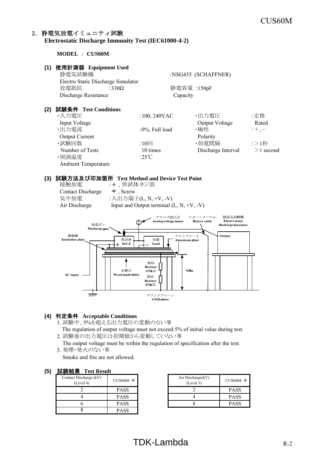### 2.静電気放電イミュニティ試験 **Electrostatic Discharge Immunity Test (IEC61000-4-2)**

**MODEL** : **CUS60M**

#### **(1)** 使用計測器 **Equipment Used**

| . . <i>.</i> | $\alpha$<br>静電気試験機<br>Electro Static Discharge Simulator |                    | :NSG435 (SCHAFFNER) |             |
|--------------|----------------------------------------------------------|--------------------|---------------------|-------------|
|              | 放電抵抗<br>:330 $\Omega$                                    |                    | 静電容量:150pF          |             |
|              | Discharge Resistance                                     | Capacity           |                     |             |
| (2)          | 試験条件 Test Conditions                                     |                    |                     |             |
|              | ・入力電圧                                                    | $:100, 240$ VAC    | ・出力電圧               | :定格         |
|              | Input Voltage                                            |                    | Output Voltage      | Rated       |
|              | ・出力電流                                                    | $:0\%$ , Full load | ・極性                 | $;+, -$     |
|              | <b>Output Current</b>                                    |                    | Polarity            |             |
|              | ・試験回数                                                    | $:10 \square$      | ・放電間隔               | :>1秒        |
|              | Number of Tests                                          | 10 times           | Discharge Interval  | $>1$ second |
|              | ·周囲温度                                                    | :25 $\degree$ C    |                     |             |

#### **(3)** 試験方法及び印加箇所 **Test Method and Device Test Point**

| 接触放電                     |  |
|--------------------------|--|
| <b>Contact Discharge</b> |  |
| 気中放電                     |  |
| Air Discharge            |  |

Ambient Temperature

:  $\pm$ 、供試体ネジ部  $\pm$ , Screw :入出力端子(L, N, +V, -V) Input and Output terminal  $(L, N, +V, -V)$ 



#### **(4)** 判定条件 **Acceptable Conditions**

- 1. 試験中、5%を超える出力電圧の変動のない事
	- The regulation of output voltage must not exceed 5% of initial value during test.
- 2. 試験後の出力電圧は初期値から変動していない事
- The output voltage must be within the regulation of specification after the test. 3. 発煙・発火のない事
	- Smoke and fire are not allowed.

#### **(5)** 試験結果 **Test Result**

| Contact Discharge (kV)<br>(Level 4) | CUS60M- $*$ |
|-------------------------------------|-------------|
|                                     | <b>PASS</b> |
|                                     | <b>PASS</b> |
|                                     | <b>PASS</b> |
|                                     | <b>PASS</b> |

| CUS60M- *   | Air Discharge(kV)<br>(Level 3) | CUS60M- $*$ |
|-------------|--------------------------------|-------------|
| <b>PASS</b> |                                | <b>PASS</b> |
| <b>PASS</b> |                                | <b>PASS</b> |
| <b>PASS</b> |                                | <b>PASS</b> |

## $TDK-Lambda$  R-2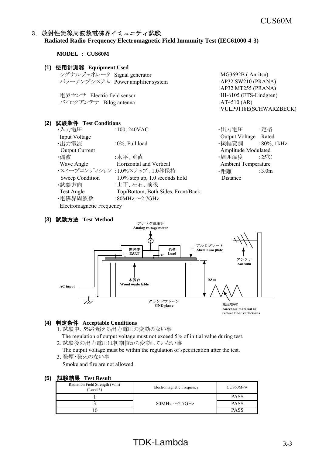#### 3.放射性無線周波数電磁界イミュニティ試験 **Radiated Radio-Frequency Electromagnetic Field Immunity Test (IEC61000-4-3)**

**MODEL** : **CUS60M**

#### **(1)** 使用計測器 **Equipment Used**

| シグナルジェネレータ Signal generator |                                   |
|-----------------------------|-----------------------------------|
|                             | パワーアンプシステム Power amplifier system |
|                             |                                   |

電界センサ Electric field sensor :HI-6105 (ETS-Lindgren) バイログアンテナ Bilog antenna  $\cdot$  :AT4510 (AR)

#### **(2)** 試験条件 **Test Conditions**

| ・入力電圧                            | $:100, 240$ VAC                    | ・出力電圧                      | :定格               |
|----------------------------------|------------------------------------|----------------------------|-------------------|
| Input Voltage                    |                                    | Output Voltage             | Rated             |
| ・出力電流                            | $:0\%$ , Full load                 | ・振幅変調                      | $:80\%$ , 1 kHz   |
| <b>Output Current</b>            |                                    | Amplitude Modulated        |                   |
| ・偏波                              | :水平、垂直                             | ・周囲温度 :25℃                 |                   |
| Wave Angle                       | Horizontal and Vertical            | <b>Ambient Temperature</b> |                   |
|                                  | ・スイープコンディション :1.0%ステップ、1.0秒保持      | ・距離                        | :3.0 <sub>m</sub> |
| Sweep Condition                  | $1.0\%$ step up, 1.0 seconds hold  | Distance                   |                   |
| ・試験方向                            | :上下、左右、前後                          |                            |                   |
| Test Angle                       | Top/Bottom, Both Sides, Front/Back |                            |                   |
| ・電磁界周波数                          | :80MHz $\sim$ 2.7GHz               |                            |                   |
| <b>Electromagnetic Frequency</b> |                                    |                            |                   |

#### **(3)** 試験方法 **Test Method**

 $: MG3692B$  (Anritsu) : AP32 SW210 (PRANA) :AP32 MT255 (PRANA) :VULP9118E(SCHWARZBECK)

アナログ電圧計 Analog voltage meter <u>(۲</u> アルミプレート 供試体 負荷 Aluminum plate  $D.U.T$ Load アンテナ п Antenna 木製台  $0.8<sub>m</sub>$ Wood made table AC input  $\frac{1}{\sqrt{2}}$ グランドプレーン 無反變体 GND plane Anechoic material to

reduce floor reflections

#### **(4)** 判定条件 **Acceptable Conditions**

- 1. 試験中、5%を超える出力電圧の変動のない事
- The regulation of output voltage must not exceed 5% of initial value during test. 2. 試験後の出力電圧は初期値から変動していない事
- The output voltage must be within the regulation of specification after the test. 3. 発煙・発火のない事

Smoke and fire are not allowed.

| Radiation Field Strength (V/m)<br>(Level 3) | Electromagnetic Frequency | $CUS60M-*$  |
|---------------------------------------------|---------------------------|-------------|
|                                             |                           | <b>PASS</b> |
|                                             | 80MHz $\sim$ 2.7GHz       | <b>PASS</b> |
|                                             |                           | <b>PASS</b> |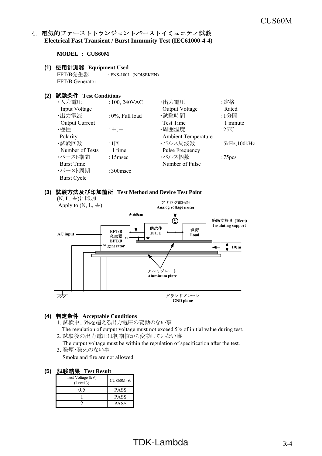### 4. 電気的ファーストトランジェントバーストイミュニティ試験 **Electrical Fast Transient / Burst Immunity Test (IEC61000-4-4)**

**MODEL** : **CUS60M**

#### **(1)** 使用計測器 **Equipment Used**

EFT/B発生器 : FNS-100L (NOISEKEN) EFT/B Generator

#### **(2)** 試験条件 **Test Conditions**

| ・入力電圧                 | $:100,240$ VAC     | ・出力電圧                      | :定格                 |
|-----------------------|--------------------|----------------------------|---------------------|
| Input Voltage         |                    | Output Voltage             | Rated               |
| ・出力電流                 | $:0\%$ , Full load | ·試験時間                      | :1分間                |
| <b>Output Current</b> |                    | Test Time                  | 1 minute            |
| ・極性                   | $: +, -$           | ·周囲温度                      | :25 $\mathrm{C}$    |
| Polarity              |                    | <b>Ambient Temperature</b> |                     |
| ・試験回数                 | $:1 \Box$          | ・パルス周波数                    | : $5kHz$ , $100kHz$ |
| Number of Tests       | 1 time             | <b>Pulse Frequency</b>     |                     |
| ・バースト期間               | $:15$ msec         | ・パルス個数                     | :75 <sub>pcs</sub>  |
| <b>Burst Time</b>     |                    | Number of Pulse            |                     |
| ・バースト周期               | $:300$ msec        |                            |                     |
| <b>Burst Cycle</b>    |                    |                            |                     |

#### **(3)** 試験方法及び印加箇所 **Test Method and Device Test Point**



#### **(4)** 判定条件 **Acceptable Conditions**

- 1. 試験中、5%を超える出力電圧の変動のない事
- The regulation of output voltage must not exceed 5% of initial value during test. 2. 試験後の出力電圧は初期値から変動していない事
- The output voltage must be within the regulation of specification after the test. 3. 発煙・発火のない事
	- Smoke and fire are not allowed.

| Test Voltage (kV)<br>(Level 3) | $CUS60M-*$  |
|--------------------------------|-------------|
|                                | PASS        |
|                                | <b>PASS</b> |
|                                | <b>PASS</b> |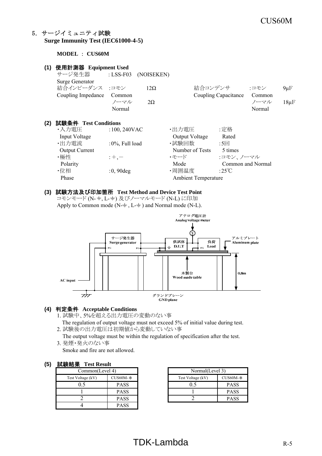### 5.サージイミュニティ試験 **Surge Immunity Test (IEC61000-4-5)**

#### **MODEL** : **CUS60M**

| (1) | 使用計測器 Equipment Used  |                     |            |                            |                      |                   |           |
|-----|-----------------------|---------------------|------------|----------------------------|----------------------|-------------------|-----------|
|     | サージ発生器                | : $LSS-F03$         | (NOISEKEN) |                            |                      |                   |           |
|     | Surge Generator       |                     |            |                            |                      |                   |           |
|     | 結合インピーダンス :コモン        |                     | $12\Omega$ | 結合コンデンサ                    |                      | :コモン              | $9\mu$ F  |
|     | Coupling Impedance    | Common              |            |                            | Coupling Capacitance | Common            |           |
|     |                       | ノーマル                | $2\Omega$  |                            |                      | ノーマル              | $18\mu F$ |
|     |                       | Normal              |            |                            |                      | Normal            |           |
| (2) | 試験条件 Test Conditions  |                     |            |                            |                      |                   |           |
|     | ・入力電圧                 | $:100,240$ VAC      |            | ・出力電圧                      | :定格                  |                   |           |
|     | Input Voltage         |                     |            | Output Voltage             | Rated                |                   |           |
|     | ·出力電流                 | : $0\%$ , Full load |            | ・試験回数                      | $:5\Box$             |                   |           |
|     | <b>Output Current</b> |                     |            | Number of Tests            | 5 times              |                   |           |
|     | ・極性                   | $: +, -$            |            | ・モード                       | :コモン、ノーマル            |                   |           |
|     | Polarity              |                     |            | Mode                       |                      | Common and Normal |           |
|     | ・位相                   | $:0,90$ deg         |            | ·周囲温度                      | :25°C                |                   |           |
|     | Phase                 |                     |            | <b>Ambient Temperature</b> |                      |                   |           |
|     |                       |                     |            |                            |                      |                   |           |

#### **(3)** 試験方法及び印加箇所 **Test Method and Device Test Point**

コモンモード (N- +, L- +) 及びノーマルモード (N-L) に印加 Apply to Common mode ( $N-\frac{+}{2}$ ,  $L-\frac{+}{2}$ ) and Normal mode (N-L).



#### **(4)** 判定条件 **Acceptable Conditions**

- 1. 試験中、5%を超える出力電圧の変動のない事
- The regulation of output voltage must not exceed 5% of initial value during test.
- 2. 試験後の出力電圧は初期値から変動していない事

The output voltage must be within the regulation of specification after the test.

3. 発煙・発火のない事

Smoke and fire are not allowed.

#### **(5)** 試験結果 **Test Result**

| .                 |             |  |                   |    |  |  |
|-------------------|-------------|--|-------------------|----|--|--|
| Common(Level 4)   |             |  | Normal(Level 3)   |    |  |  |
| Test Voltage (kV) | $CUS60M-*$  |  | Test Voltage (kV) | Cl |  |  |
|                   | <b>PASS</b> |  |                   |    |  |  |
|                   | <b>PASS</b> |  |                   |    |  |  |
|                   | <b>PASS</b> |  |                   |    |  |  |
|                   | PASS        |  |                   |    |  |  |

| .                               |             |  |                   |             |  |
|---------------------------------|-------------|--|-------------------|-------------|--|
| Common(Level 4)                 |             |  | Normal(Level 3)   |             |  |
| Test Voltage (kV)<br>$CUS60M-*$ |             |  | Test Voltage (kV) | $CUS60M-*$  |  |
|                                 | <b>PASS</b> |  | ).5               | <b>PASS</b> |  |
|                                 | <b>PASS</b> |  |                   | <b>PASS</b> |  |
|                                 | <b>PASS</b> |  |                   | <b>PASS</b> |  |

## $TDK-Lambda$  R-5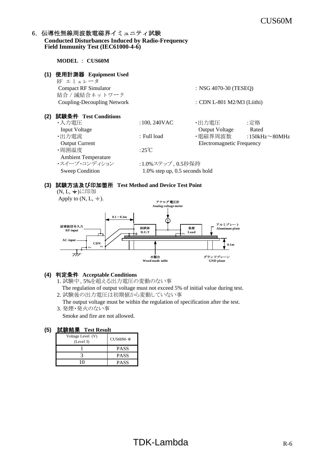#### 6. 伝導性無線周波数電磁界イミュニティ試験 **Conducted Disturbances Induced by Radio-Frequency Field Immunity Test (IEC61000-4-6)**

**MODEL** : **CUS60M**

| (1) | 使用計測器 Equipment Used<br>RF エミュレータ |                                   |                                  |                      |
|-----|-----------------------------------|-----------------------------------|----------------------------------|----------------------|
|     | <b>Compact RF Simulator</b>       |                                   | : NSG 4070-30 (TESEQ)            |                      |
|     | 結合 / 減結合ネットワーク                    |                                   |                                  |                      |
|     | Coupling-Decoupling Network       |                                   | : CDN L-801 M2/M3 (Liithi)       |                      |
| (2) | 試験条件 Test Conditions              |                                   |                                  |                      |
|     | ・入力電圧                             | $:100,240$ VAC                    | ・出力電圧                            | :定格                  |
|     | Input Voltage                     |                                   | <b>Output Voltage</b>            | Rated                |
|     | ・出力電流                             | : Full load                       | ・電磁界周波数                          | :150kHz $\sim$ 80MHz |
|     | <b>Output Current</b>             |                                   | <b>Electromagnetic Frequency</b> |                      |
|     | ・周囲温度                             | :25°C                             |                                  |                      |
|     | <b>Ambient Temperature</b>        |                                   |                                  |                      |
|     | ・スイープ・コンディション                     | :1.0%ステップ、0.5秒保持                  |                                  |                      |
|     | Sweep Condition                   | $1.0\%$ step up, 0.5 seconds hold |                                  |                      |
|     |                                   |                                   |                                  |                      |

#### **(3)** 試験方法及び印加箇所 **Test Method and Device Test Point**

(N, L, +)に印加



#### **(4)** 判定条件 **Acceptable Conditions**

1. 試験中、5%を超える出力電圧の変動のない事

 The regulation of output voltage must not exceed 5% of initial value during test. 2. 試験後の出力電圧は初期値から変動していない事

 The output voltage must be within the regulation of specification after the test. 3. 発煙・発火のない事

Smoke and fire are not allowed.

| Voltage Level (V)<br>(Level 3) | $CUS60M-$ * |
|--------------------------------|-------------|
|                                | <b>PASS</b> |
|                                | <b>PASS</b> |
|                                | <b>PASS</b> |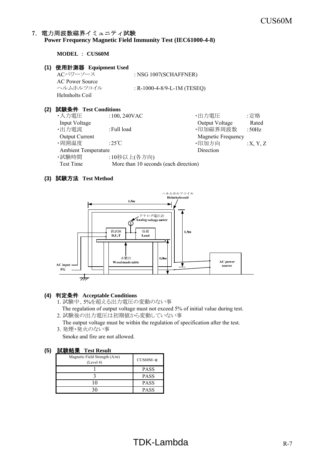#### 7.電力周波数磁界イミュニティ試験 **Power Frequency Magnetic Field Immunity Test (IEC61000-4-8)**

**MODEL** : **CUS60M**

#### **(1)** 使用計測器 **Equipment Used**

ACパワーソース : NSG 1007(SCHAFFNER) AC Power Source ヘルムホルツコイル : R-1000-4-8/9-L-1M (TESEQ) Helmholts Coil

#### **(2)** 試験条件 **Test Conditions**

| ・入力電圧                      | $:100, 240$ VAC                       | ・出力電圧                     | :定格      |
|----------------------------|---------------------------------------|---------------------------|----------|
| Input Voltage              |                                       | Output Voltage            | Rated    |
| ·出力電流                      | : Full load                           | ·印加磁界周波数                  | :50Hz    |
| <b>Output Current</b>      |                                       | <b>Magnetic Frequency</b> |          |
| ·周囲温度                      | :25 $\degree$ C                       | ·印加方向                     | :X, Y, Z |
| <b>Ambient Temperature</b> |                                       | Direction                 |          |
| ・試験時間                      | :10秒以上(各方向)                           |                           |          |
| Test Time                  | More than 10 seconds (each direction) |                           |          |

#### **(3)** 試験方法 **Test Method**



#### **(4)** 判定条件 **Acceptable Conditions**

- 1. 試験中、5%を超える出力電圧の変動のない事 The regulation of output voltage must not exceed 5% of initial value during test.
- 2. 試験後の出力電圧は初期値から変動していない事
- The output voltage must be within the regulation of specification after the test. 3. 発煙・発火のない事

Smoke and fire are not allowed.

| Magnetic Field Strength (A/m)<br>(Level 4) | $CUS60M-*$  |
|--------------------------------------------|-------------|
|                                            | <b>PASS</b> |
|                                            | <b>PASS</b> |
|                                            | <b>PASS</b> |
|                                            | <b>PASS</b> |